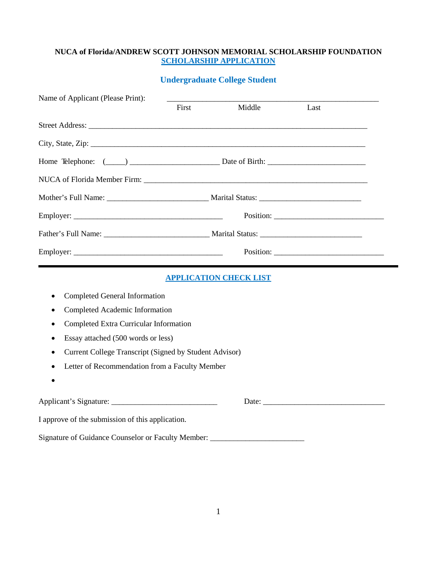#### **NUCA of Florida/ANDREW SCOTT JOHNSON MEMORIAL SCHOLARSHIP FOUNDATION SCHOLARSHIP APPLICATION**

# **Undergraduate College Student**

| Name of Applicant (Please Print):                                                                          |       |                               |      |  |
|------------------------------------------------------------------------------------------------------------|-------|-------------------------------|------|--|
|                                                                                                            | First | Middle                        | Last |  |
|                                                                                                            |       |                               |      |  |
|                                                                                                            |       |                               |      |  |
| Home Telephone: (Comparison and Date of Birth: Comparison and Date of Birth: Comparison and Date of Birth: |       |                               |      |  |
|                                                                                                            |       |                               |      |  |
|                                                                                                            |       |                               |      |  |
|                                                                                                            |       |                               |      |  |
|                                                                                                            |       |                               |      |  |
|                                                                                                            |       |                               |      |  |
|                                                                                                            |       | <b>APPLICATION CHECK LIST</b> |      |  |
| <b>Completed General Information</b><br>٠                                                                  |       |                               |      |  |
| Completed Academic Information<br>$\bullet$                                                                |       |                               |      |  |
| Completed Extra Curricular Information                                                                     |       |                               |      |  |
| Essay attached (500 words or less)<br>$\bullet$                                                            |       |                               |      |  |
| Current College Transcript (Signed by Student Advisor)                                                     |       |                               |      |  |
| Letter of Recommendation from a Faculty Member                                                             |       |                               |      |  |
|                                                                                                            |       |                               |      |  |
|                                                                                                            |       |                               |      |  |
| I approve of the submission of this application.                                                           |       |                               |      |  |
| Signature of Guidance Counselor or Faculty Member: ________                                                |       |                               |      |  |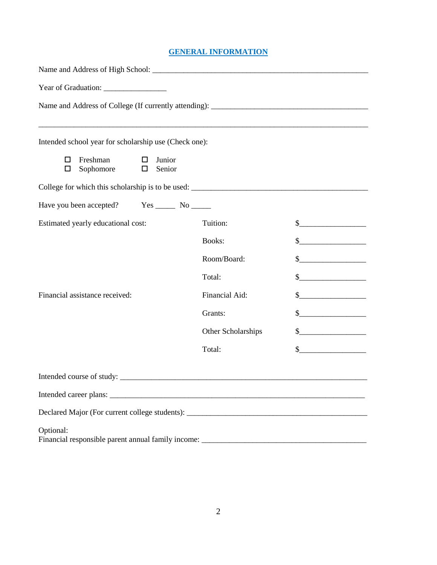#### **GENERAL INFORMATION**

| <u> 1989 - Johann Barn, mars ann an t-Amhainn an t-Amhainn an t-Amhainn an t-Amhainn an t-Amhainn an t-Amhainn an</u><br>Intended school year for scholarship use (Check one): |                    |                                                                                                                                                                                                                                                                                                                                                                     |
|--------------------------------------------------------------------------------------------------------------------------------------------------------------------------------|--------------------|---------------------------------------------------------------------------------------------------------------------------------------------------------------------------------------------------------------------------------------------------------------------------------------------------------------------------------------------------------------------|
| Freshman<br>Junior<br>□<br>$\Box$<br>Sophomore<br>$\Box$<br>Senior<br>□                                                                                                        |                    |                                                                                                                                                                                                                                                                                                                                                                     |
|                                                                                                                                                                                |                    |                                                                                                                                                                                                                                                                                                                                                                     |
| Have you been accepted? Yes ________ No _______                                                                                                                                |                    |                                                                                                                                                                                                                                                                                                                                                                     |
| Estimated yearly educational cost:                                                                                                                                             | Tuition:           | $\frac{1}{2}$                                                                                                                                                                                                                                                                                                                                                       |
|                                                                                                                                                                                | <b>Books:</b>      | $\frac{1}{2}$                                                                                                                                                                                                                                                                                                                                                       |
|                                                                                                                                                                                | Room/Board:        | $\begin{picture}(20,10) \put(0,0){\line(1,0){10}} \put(15,0){\line(1,0){10}} \put(15,0){\line(1,0){10}} \put(15,0){\line(1,0){10}} \put(15,0){\line(1,0){10}} \put(15,0){\line(1,0){10}} \put(15,0){\line(1,0){10}} \put(15,0){\line(1,0){10}} \put(15,0){\line(1,0){10}} \put(15,0){\line(1,0){10}} \put(15,0){\line(1,0){10}} \put(15,0){\line(1$                 |
|                                                                                                                                                                                | Total:             | $\begin{picture}(20,10) \put(0,0){\vector(1,0){100}} \put(15,0){\vector(1,0){100}} \put(15,0){\vector(1,0){100}} \put(15,0){\vector(1,0){100}} \put(15,0){\vector(1,0){100}} \put(15,0){\vector(1,0){100}} \put(15,0){\vector(1,0){100}} \put(15,0){\vector(1,0){100}} \put(15,0){\vector(1,0){100}} \put(15,0){\vector(1,0){100}} \put(15,0){\vector(1,0){100}} \$ |
| Financial assistance received:                                                                                                                                                 | Financial Aid:     | $\frac{1}{2}$                                                                                                                                                                                                                                                                                                                                                       |
|                                                                                                                                                                                | Grants:            | $\frac{1}{2}$                                                                                                                                                                                                                                                                                                                                                       |
|                                                                                                                                                                                | Other Scholarships | $\begin{picture}(20,10) \put(0,0){\line(1,0){10}} \put(15,0){\line(1,0){10}} \put(15,0){\line(1,0){10}} \put(15,0){\line(1,0){10}} \put(15,0){\line(1,0){10}} \put(15,0){\line(1,0){10}} \put(15,0){\line(1,0){10}} \put(15,0){\line(1,0){10}} \put(15,0){\line(1,0){10}} \put(15,0){\line(1,0){10}} \put(15,0){\line(1,0){10}} \put(15,0){\line(1$                 |
|                                                                                                                                                                                | Total:             | $\begin{picture}(20,10) \put(0,0){\line(1,0){10}} \put(15,0){\line(1,0){10}} \put(15,0){\line(1,0){10}} \put(15,0){\line(1,0){10}} \put(15,0){\line(1,0){10}} \put(15,0){\line(1,0){10}} \put(15,0){\line(1,0){10}} \put(15,0){\line(1,0){10}} \put(15,0){\line(1,0){10}} \put(15,0){\line(1,0){10}} \put(15,0){\line(1,0){10}} \put(15,0){\line(1$                 |
|                                                                                                                                                                                |                    |                                                                                                                                                                                                                                                                                                                                                                     |
|                                                                                                                                                                                |                    |                                                                                                                                                                                                                                                                                                                                                                     |
|                                                                                                                                                                                |                    |                                                                                                                                                                                                                                                                                                                                                                     |
| Optional:<br>Financial responsible parent annual family income: ______________________________                                                                                 |                    |                                                                                                                                                                                                                                                                                                                                                                     |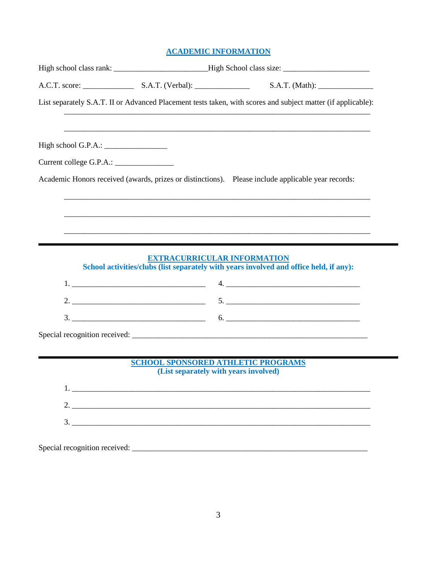## **ACADEMIC INFORMATION**

|                                           | List separately S.A.T. II or Advanced Placement tests taken, with scores and subject matter (if applicable):          |  |  |
|-------------------------------------------|-----------------------------------------------------------------------------------------------------------------------|--|--|
|                                           |                                                                                                                       |  |  |
|                                           |                                                                                                                       |  |  |
|                                           | Academic Honors received (awards, prizes or distinctions). Please include applicable year records:                    |  |  |
|                                           |                                                                                                                       |  |  |
|                                           |                                                                                                                       |  |  |
|                                           |                                                                                                                       |  |  |
|                                           | <u> 1989 - Johann Harry Harry Harry Harry Harry Harry Harry Harry Harry Harry Harry Harry Harry Harry Harry Harry</u> |  |  |
| <b>EXTRACURRICULAR INFORMATION</b>        | School activities/clubs (list separately with years involved and office held, if any):                                |  |  |
|                                           |                                                                                                                       |  |  |
|                                           |                                                                                                                       |  |  |
|                                           |                                                                                                                       |  |  |
|                                           |                                                                                                                       |  |  |
|                                           |                                                                                                                       |  |  |
| <b>SCHOOL SPONSORED ATHLETIC PROGRAMS</b> |                                                                                                                       |  |  |
| (List separately with years involved)     |                                                                                                                       |  |  |
|                                           |                                                                                                                       |  |  |
|                                           |                                                                                                                       |  |  |
|                                           |                                                                                                                       |  |  |
|                                           |                                                                                                                       |  |  |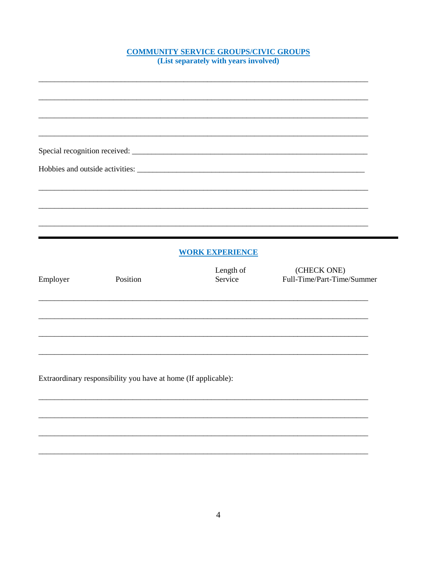# **COMMUNITY SERVICE GROUPS/CIVIC GROUPS**<br>(List separately with years involved)

|          |                                                                | <b>WORK EXPERIENCE</b> |                                           |
|----------|----------------------------------------------------------------|------------------------|-------------------------------------------|
| Employer | Position                                                       | Length of<br>Service   | (CHECK ONE)<br>Full-Time/Part-Time/Summer |
|          |                                                                |                        |                                           |
|          |                                                                |                        |                                           |
|          | Extraordinary responsibility you have at home (If applicable): |                        |                                           |
|          |                                                                |                        |                                           |
|          |                                                                |                        |                                           |